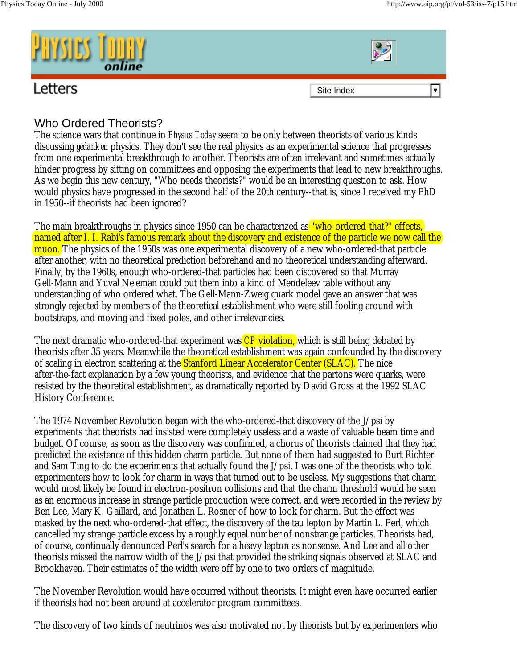$\blacktriangledown$ 



### Letters

Site Index

### Who Ordered Theorists?

The science wars that continue in *Physics Today* seem to be only between theorists of various kinds discussing *gedanken* physics. They don't see the real physics as an experimental science that progresses from one experimental breakthrough to another. Theorists are often irrelevant and sometimes actually hinder progress by sitting on committees and opposing the experiments that lead to new breakthroughs. As we begin this new century, "Who needs theorists?" would be an interesting question to ask. How would physics have progressed in the second half of the 20th century--that is, since I received my PhD in 1950--if theorists had been ignored?

The main breakthroughs in physics since 1950 can be characterized as "who-ordered-that?" effects, named after I. I. Rabi's famous remark about the discovery and existence of the particle we now call the muon. The physics of the 1950s was one experimental discovery of a new who-ordered-that particle after another, with no theoretical prediction beforehand and no theoretical understanding afterward. Finally, by the 1960s, enough who-ordered-that particles had been discovered so that Murray Gell-Mann and Yuval Ne'eman could put them into a kind of Mendeleev table without any understanding of who ordered what. The Gell-Mann-Zweig quark model gave an answer that was strongly rejected by members of the theoretical establishment who were still fooling around with bootstraps, and moving and fixed poles, and other irrelevancies.

The next dramatic who-ordered-that experiment was *CP* violation, which is still being debated by theorists after 35 years. Meanwhile the theoretical establishment was again confounded by the discovery of scaling in electron scattering at the Stanford Linear Accelerator Center (SLAC). The nice after-the-fact explanation by a few young theorists, and evidence that the partons were quarks, were resisted by the theoretical establishment, as dramatically reported by David Gross at the 1992 SLAC History Conference.

The 1974 November Revolution began with the who-ordered-that discovery of the J/psi by experiments that theorists had insisted were completely useless and a waste of valuable beam time and budget. Of course, as soon as the discovery was confirmed, a chorus of theorists claimed that they had predicted the existence of this hidden charm particle. But none of them had suggested to Burt Richter and Sam Ting to do the experiments that actually found the J/psi. I was one of the theorists who told experimenters how to look for charm in ways that turned out to be useless. My suggestions that charm would most likely be found in electron-positron collisions and that the charm threshold would be seen as an enormous increase in strange particle production were correct, and were recorded in the review by Ben Lee, Mary K. Gaillard, and Jonathan L. Rosner of how to look for charm. But the effect was masked by the next who-ordered-that effect, the discovery of the tau lepton by Martin L. Perl, which cancelled my strange particle excess by a roughly equal number of nonstrange particles. Theorists had, of course, continually denounced Perl's search for a heavy lepton as nonsense. And Lee and all other theorists missed the narrow width of the J/psi that provided the striking signals observed at SLAC and Brookhaven. Their estimates of the width were off by one to two orders of magnitude.

The November Revolution would have occurred without theorists. It might even have occurred earlier if theorists had not been around at accelerator program committees.

The discovery of two kinds of neutrinos was also motivated not by theorists but by experimenters who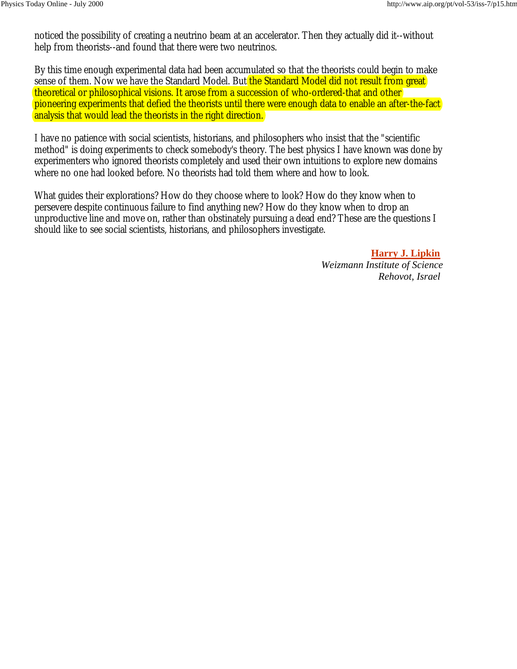noticed the possibility of creating a neutrino beam at an accelerator. Then they actually did it--without help from theorists--and found that there were two neutrinos.

By this time enough experimental data had been accumulated so that the theorists could begin to make sense of them. Now we have the Standard Model. But the Standard Model did not result from great theoretical or philosophical visions. It arose from a succession of who-ordered-that and other pioneering experiments that defied the theorists until there were enough data to enable an after-the-fact analysis that would lead the theorists in the right direction.

I have no patience with social scientists, historians, and philosophers who insist that the "scientific method" is doing experiments to check somebody's theory. The best physics I have known was done by experimenters who ignored theorists completely and used their own intuitions to explore new domains where no one had looked before. No theorists had told them where and how to look.

What guides their explorations? How do they choose where to look? How do they know when to persevere despite continuous failure to find anything new? How do they know when to drop an unproductive line and move on, rather than obstinately pursuing a dead end? These are the questions I should like to see social scientists, historians, and philosophers investigate.

**Harry J. Lipkin**

*Weizmann Institute of Science Rehovot, Israel*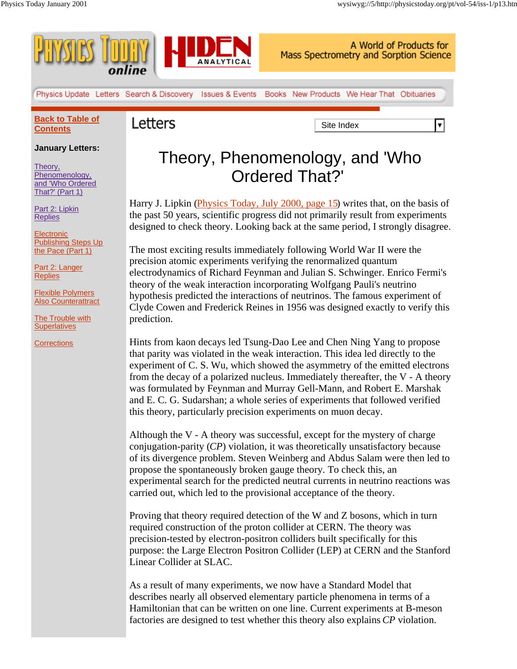$|\bm{\mathrm{v}}|$ 



Letters

Physics Update Letters Search & Discovery Issues & Events Books New Products We Hear That Obituaries

**Back to Table of Contents**

**January Letters:**

Theory, Phenomenology, and 'Who Ordered That?' (Part 1)

Part 2: Lipkin **Replies** 

**Electronic** Publishing Steps Up the Pace (Part 1)

Part 2: Langer Replies

Flexible Polymers Also Counterattract

The Trouble with **Superlatives** 

**Corrections** 

## Theory, Phenomenology, and 'Who Ordered That?'

Harry J. Lipkin (Physics Today, July 2000, page 15) writes that, on the basis of the past 50 years, scientific progress did not primarily result from experiments designed to check theory. Looking back at the same period, I strongly disagree.

The most exciting results immediately following World War II were the precision atomic experiments verifying the renormalized quantum electrodynamics of Richard Feynman and Julian S. Schwinger. Enrico Fermi's theory of the weak interaction incorporating Wolfgang Pauli's neutrino hypothesis predicted the interactions of neutrinos. The famous experiment of Clyde Cowen and Frederick Reines in 1956 was designed exactly to verify this prediction.

Hints from kaon decays led Tsung-Dao Lee and Chen Ning Yang to propose that parity was violated in the weak interaction. This idea led directly to the experiment of C. S. Wu, which showed the asymmetry of the emitted electrons from the decay of a polarized nucleus. Immediately thereafter, the V - A theory was formulated by Feynman and Murray Gell-Mann, and Robert E. Marshak and E. C. G. Sudarshan; a whole series of experiments that followed verified this theory, particularly precision experiments on muon decay.

Although the V - A theory was successful, except for the mystery of charge conjugation-parity (*CP*) violation, it was theoretically unsatisfactory because of its divergence problem. Steven Weinberg and Abdus Salam were then led to propose the spontaneously broken gauge theory. To check this, an experimental search for the predicted neutral currents in neutrino reactions was carried out, which led to the provisional acceptance of the theory.

Proving that theory required detection of the W and Z bosons, which in turn required construction of the proton collider at CERN. The theory was precision-tested by electron-positron colliders built specifically for this purpose: the Large Electron Positron Collider (LEP) at CERN and the Stanford Linear Collider at SLAC.

As a result of many experiments, we now have a Standard Model that describes nearly all observed elementary particle phenomena in terms of a Hamiltonian that can be written on one line. Current experiments at B-meson factories are designed to test whether this theory also explains *CP* violation.

Site Index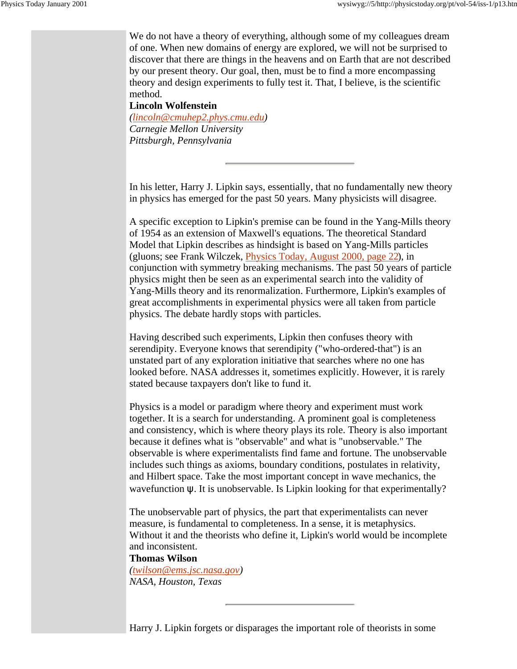We do not have a theory of everything, although some of my colleagues dream of one. When new domains of energy are explored, we will not be surprised to discover that there are things in the heavens and on Earth that are not described by our present theory. Our goal, then, must be to find a more encompassing theory and design experiments to fully test it. That, I believe, is the scientific method.

#### **Lincoln Wolfenstein**

*(lincoln@cmuhep2.phys.cmu.edu) Carnegie Mellon University Pittsburgh, Pennsylvania*

In his letter, Harry J. Lipkin says, essentially, that no fundamentally new theory in physics has emerged for the past 50 years. Many physicists will disagree.

A specific exception to Lipkin's premise can be found in the Yang-Mills theory of 1954 as an extension of Maxwell's equations. The theoretical Standard Model that Lipkin describes as hindsight is based on Yang-Mills particles (gluons; see Frank Wilczek, Physics Today, August 2000, page 22), in conjunction with symmetry breaking mechanisms. The past 50 years of particle physics might then be seen as an experimental search into the validity of Yang-Mills theory and its renormalization. Furthermore, Lipkin's examples of great accomplishments in experimental physics were all taken from particle physics. The debate hardly stops with particles.

Having described such experiments, Lipkin then confuses theory with serendipity. Everyone knows that serendipity ("who-ordered-that") is an unstated part of any exploration initiative that searches where no one has looked before. NASA addresses it, sometimes explicitly. However, it is rarely stated because taxpayers don't like to fund it.

Physics is a model or paradigm where theory and experiment must work together. It is a search for understanding. A prominent goal is completeness and consistency, which is where theory plays its role. Theory is also important because it defines what is "observable" and what is "unobservable." The observable is where experimentalists find fame and fortune. The unobservable includes such things as axioms, boundary conditions, postulates in relativity, and Hilbert space. Take the most important concept in wave mechanics, the wavefunction ψ. It is unobservable. Is Lipkin looking for that experimentally?

The unobservable part of physics, the part that experimentalists can never measure, is fundamental to completeness. In a sense, it is metaphysics. Without it and the theorists who define it, Lipkin's world would be incomplete and inconsistent.

#### **Thomas Wilson**

*(twilson@ems.jsc.nasa.gov) NASA, Houston, Texas*

Harry J. Lipkin forgets or disparages the important role of theorists in some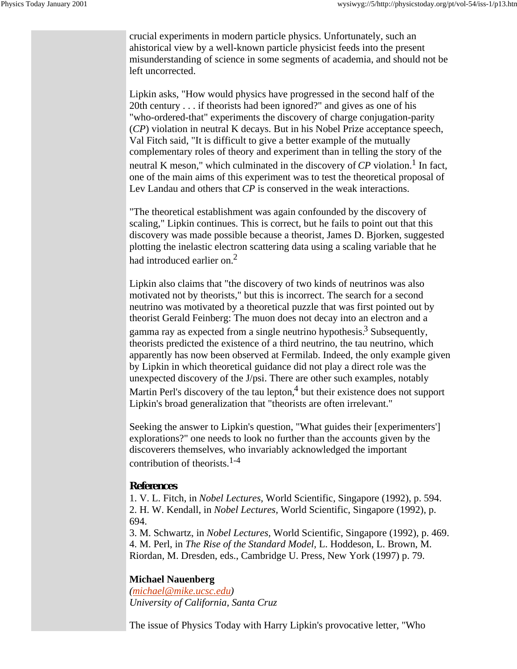crucial experiments in modern particle physics. Unfortunately, such an ahistorical view by a well-known particle physicist feeds into the present misunderstanding of science in some segments of academia, and should not be left uncorrected.

Lipkin asks, "How would physics have progressed in the second half of the 20th century . . . if theorists had been ignored?" and gives as one of his "who-ordered-that" experiments the discovery of charge conjugation-parity (*CP*) violation in neutral K decays. But in his Nobel Prize acceptance speech, Val Fitch said, "It is difficult to give a better example of the mutually complementary roles of theory and experiment than in telling the story of the neutral K meson," which culminated in the discovery of  $\mathbb{CP}$  violation.<sup>1</sup> In fact, one of the main aims of this experiment was to test the theoretical proposal of Lev Landau and others that *CP* is conserved in the weak interactions.

"The theoretical establishment was again confounded by the discovery of scaling," Lipkin continues. This is correct, but he fails to point out that this discovery was made possible because a theorist, James D. Bjorken, suggested plotting the inelastic electron scattering data using a scaling variable that he had introduced earlier on.<sup>2</sup>

Lipkin also claims that "the discovery of two kinds of neutrinos was also motivated not by theorists," but this is incorrect. The search for a second neutrino was motivated by a theoretical puzzle that was first pointed out by theorist Gerald Feinberg: The muon does not decay into an electron and a gamma ray as expected from a single neutrino hypothesis.<sup>3</sup> Subsequently, theorists predicted the existence of a third neutrino, the tau neutrino, which apparently has now been observed at Fermilab. Indeed, the only example given by Lipkin in which theoretical guidance did not play a direct role was the unexpected discovery of the J/psi. There are other such examples, notably Martin Perl's discovery of the tau lepton, $4$  but their existence does not support Lipkin's broad generalization that "theorists are often irrelevant."

Seeking the answer to Lipkin's question, "What guides their [experimenters'] explorations?" one needs to look no further than the accounts given by the discoverers themselves, who invariably acknowledged the important contribution of theorists.1-4

#### **References**

1. V. L. Fitch, in *Nobel Lectures,* World Scientific, Singapore (1992), p. 594. 2. H. W. Kendall, in *Nobel Lectures,* World Scientific, Singapore (1992), p. 694.

3. M. Schwartz, in *Nobel Lectures,* World Scientific, Singapore (1992), p. 469. 4. M. Perl, in *The Rise of the Standard Model,* L. Hoddeson, L. Brown, M. Riordan, M. Dresden, eds., Cambridge U. Press, New York (1997) p. 79.

#### **Michael Nauenberg**

*(michael@mike.ucsc.edu) University of California, Santa Cruz*

The issue of Physics Today with Harry Lipkin's provocative letter, "Who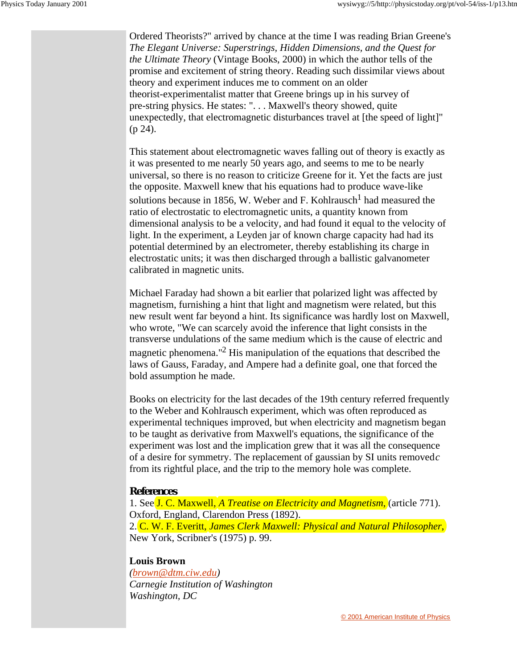Ordered Theorists?" arrived by chance at the time I was reading Brian Greene's *The Elegant Universe: Superstrings, Hidden Dimensions, and the Quest for the Ultimate Theory* (Vintage Books, 2000) in which the author tells of the promise and excitement of string theory. Reading such dissimilar views about theory and experiment induces me to comment on an older theorist-experimentalist matter that Greene brings up in his survey of pre-string physics. He states: ". . . Maxwell's theory showed, quite unexpectedly, that electromagnetic disturbances travel at [the speed of light]" (p 24).

This statement about electromagnetic waves falling out of theory is exactly as it was presented to me nearly 50 years ago, and seems to me to be nearly universal, so there is no reason to criticize Greene for it. Yet the facts are just the opposite. Maxwell knew that his equations had to produce wave-like solutions because in 1856, W. Weber and F. Kohlrausch<sup>1</sup> had measured the ratio of electrostatic to electromagnetic units, a quantity known from dimensional analysis to be a velocity, and had found it equal to the velocity of light. In the experiment, a Leyden jar of known charge capacity had had its potential determined by an electrometer, thereby establishing its charge in electrostatic units; it was then discharged through a ballistic galvanometer calibrated in magnetic units.

Michael Faraday had shown a bit earlier that polarized light was affected by magnetism, furnishing a hint that light and magnetism were related, but this new result went far beyond a hint. Its significance was hardly lost on Maxwell, who wrote, "We can scarcely avoid the inference that light consists in the transverse undulations of the same medium which is the cause of electric and magnetic phenomena."2 His manipulation of the equations that described the laws of Gauss, Faraday, and Ampere had a definite goal, one that forced the bold assumption he made.

Books on electricity for the last decades of the 19th century referred frequently to the Weber and Kohlrausch experiment, which was often reproduced as experimental techniques improved, but when electricity and magnetism began to be taught as derivative from Maxwell's equations, the significance of the experiment was lost and the implication grew that it was all the consequence of a desire for symmetry. The replacement of gaussian by SI units removed *c* from its rightful place, and the trip to the memory hole was complete.

#### **References**

1. See J. C. Maxwell, *A Treatise on Electricity and Magnetism*, (article 771). Oxford, England, Clarendon Press (1892).

2. C. W. F. Everitt, *James Clerk Maxwell: Physical and Natural Philosopher*, New York, Scribner's (1975) p. 99.

#### **Louis Brown**

*(brown@dtm.ciw.edu) Carnegie Institution of Washington Washington, DC*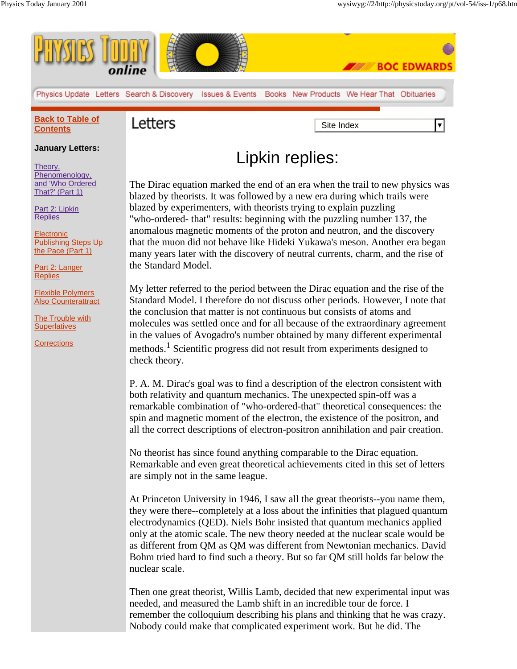

**January Letters:**

Theory, Phenomenology, and 'Who Ordered That?' (Part 1)

Part 2: Lipkin **Replies** 

**Electronic** Publishing Steps Up the Pace (Part 1)

Part 2: Langer Replies

Flexible Polymers Also Counterattract

The Trouble with **Superlatives** 

**Corrections** 

# Lipkin replies:

The Dirac equation marked the end of an era when the trail to new physics was blazed by theorists. It was followed by a new era during which trails were blazed by experimenters, with theorists trying to explain puzzling "who-ordered- that" results: beginning with the puzzling number 137, the anomalous magnetic moments of the proton and neutron, and the discovery that the muon did not behave like Hideki Yukawa's meson. Another era began many years later with the discovery of neutral currents, charm, and the rise of the Standard Model.

My letter referred to the period between the Dirac equation and the rise of the Standard Model. I therefore do not discuss other periods. However, I note that the conclusion that matter is not continuous but consists of atoms and molecules was settled once and for all because of the extraordinary agreement in the values of Avogadro's number obtained by many different experimental methods.<sup>1</sup> Scientific progress did not result from experiments designed to check theory.

P. A. M. Dirac's goal was to find a description of the electron consistent with both relativity and quantum mechanics. The unexpected spin-off was a remarkable combination of "who-ordered-that" theoretical consequences: the spin and magnetic moment of the electron, the existence of the positron, and all the correct descriptions of electron-positron annihilation and pair creation.

No theorist has since found anything comparable to the Dirac equation. Remarkable and even great theoretical achievements cited in this set of letters are simply not in the same league.

At Princeton University in 1946, I saw all the great theorists--you name them, they were there--completely at a loss about the infinities that plagued quantum electrodynamics (QED). Niels Bohr insisted that quantum mechanics applied only at the atomic scale. The new theory needed at the nuclear scale would be as different from QM as QM was different from Newtonian mechanics. David Bohm tried hard to find such a theory. But so far QM still holds far below the nuclear scale.

Then one great theorist, Willis Lamb, decided that new experimental input was needed, and measured the Lamb shift in an incredible tour de force. I remember the colloquium describing his plans and thinking that he was crazy. Nobody could make that complicated experiment work. But he did. The